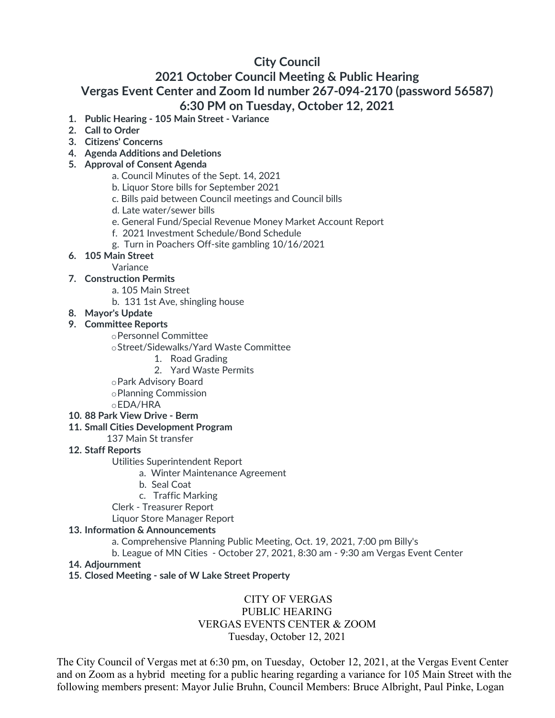# **City Council**

# **2021 October Council Meeting & Public Hearing Vergas Event Center and Zoom Id number 267-094-2170 (password 56587) 6:30 PM on Tuesday, October 12, 2021**

- **1. Public Hearing - 105 Main Street - Variance**
- **2. Call to Order**
- **3. Citizens' Concerns**
- **4. Agenda Additions and Deletions**
- **5. Approval of Consent Agenda**
	- a. Council Minutes of the Sept. 14, 2021
	- b. Liquor Store bills for September 2021
	- c. Bills paid between Council meetings and Council bills
	- d. Late water/sewer bills
	- e. General Fund/Special Revenue Money Market Account Report
	- f. 2021 Investment Schedule/Bond Schedule
	- g. Turn in Poachers Off-site gambling 10/16/2021
- **6. 105 Main Street**
	- Variance
- **7. Construction Permits**
	- a. 105 Main Street
	- b. 131 1st Ave, shingling house
- **8. Mayor's Update**

### **9. Committee Reports**

- oPersonnel Committee
- oStreet/Sidewalks/Yard Waste Committee
	- 1. Road Grading
	- 2. Yard Waste Permits
- oPark Advisory Board
- oPlanning Commission
- oEDA/HRA
- **10. 88 Park View Drive - Berm**
- **11. Small Cities Development Program**
	- 137 Main St transfer

#### **12. Staff Reports**

- Utilities Superintendent Report
	- a. Winter Maintenance Agreement
	- b. Seal Coat
	- c. Traffic Marking
- Clerk Treasurer Report

Liquor Store Manager Report

#### **13. Information & Announcements**

- a. Comprehensive Planning Public Meeting, Oct. 19, 2021, 7:00 pm Billy's
- b. League of MN Cities October 27, 2021, 8:30 am 9:30 am Vergas Event Center
- **14. Adjournment**
- **15. Closed Meeting - sale of W Lake Street Property**

# CITY OF VERGAS PUBLIC HEARING VERGAS EVENTS CENTER & ZOOM Tuesday, October 12, 2021

The City Council of Vergas met at 6:30 pm, on Tuesday, October 12, 2021, at the Vergas Event Center and on Zoom as a hybrid meeting for a public hearing regarding a variance for 105 Main Street with the following members present: Mayor Julie Bruhn, Council Members: Bruce Albright, Paul Pinke, Logan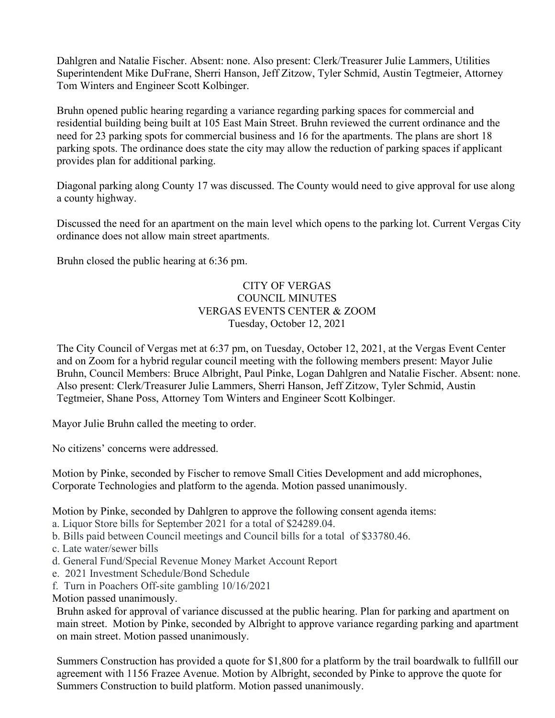Dahlgren and Natalie Fischer. Absent: none. Also present: Clerk/Treasurer Julie Lammers, Utilities Superintendent Mike DuFrane, Sherri Hanson, Jeff Zitzow, Tyler Schmid, Austin Tegtmeier, Attorney Tom Winters and Engineer Scott Kolbinger.

Bruhn opened public hearing regarding a variance regarding parking spaces for commercial and residential building being built at 105 East Main Street. Bruhn reviewed the current ordinance and the need for 23 parking spots for commercial business and 16 for the apartments. The plans are short 18 parking spots. The ordinance does state the city may allow the reduction of parking spaces if applicant provides plan for additional parking.

Diagonal parking along County 17 was discussed. The County would need to give approval for use along a county highway.

Discussed the need for an apartment on the main level which opens to the parking lot. Current Vergas City ordinance does not allow main street apartments.

Bruhn closed the public hearing at 6:36 pm.

## CITY OF VERGAS COUNCIL MINUTES VERGAS EVENTS CENTER & ZOOM Tuesday, October 12, 2021

The City Council of Vergas met at 6:37 pm, on Tuesday, October 12, 2021, at the Vergas Event Center and on Zoom for a hybrid regular council meeting with the following members present: Mayor Julie Bruhn, Council Members: Bruce Albright, Paul Pinke, Logan Dahlgren and Natalie Fischer. Absent: none. Also present: Clerk/Treasurer Julie Lammers, Sherri Hanson, Jeff Zitzow, Tyler Schmid, Austin Tegtmeier, Shane Poss, Attorney Tom Winters and Engineer Scott Kolbinger.

Mayor Julie Bruhn called the meeting to order.

No citizens' concerns were addressed.

Motion by Pinke, seconded by Fischer to remove Small Cities Development and add microphones, Corporate Technologies and platform to the agenda. Motion passed unanimously.

Motion by Pinke, seconded by Dahlgren to approve the following consent agenda items:

a. Liquor Store bills for September 2021 for a total of \$24289.04.

b. Bills paid between Council meetings and Council bills for a total of \$33780.46.

- c. Late water/sewer bills
- d. General Fund/Special Revenue Money Market Account Report
- e. 2021 Investment Schedule/Bond Schedule
- f. Turn in Poachers Off-site gambling 10/16/2021

Motion passed unanimously.

Bruhn asked for approval of variance discussed at the public hearing. Plan for parking and apartment on main street. Motion by Pinke, seconded by Albright to approve variance regarding parking and apartment on main street. Motion passed unanimously.

Summers Construction has provided a quote for \$1,800 for a platform by the trail boardwalk to fullfill our agreement with 1156 Frazee Avenue. Motion by Albright, seconded by Pinke to approve the quote for Summers Construction to build platform. Motion passed unanimously.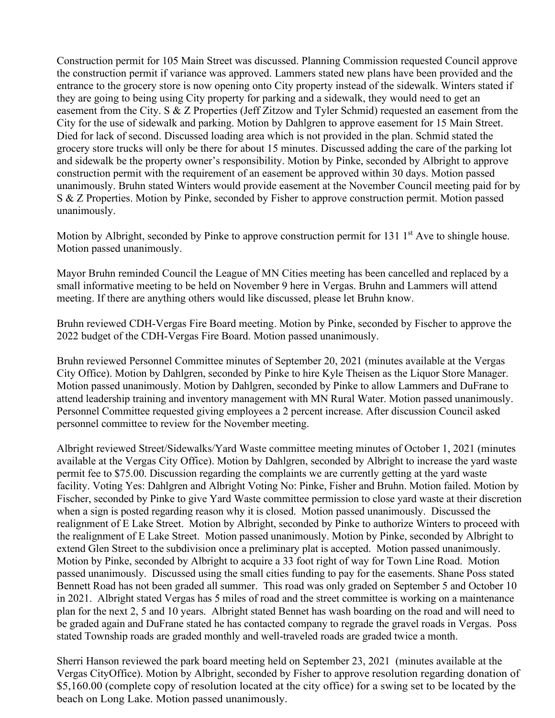Construction permit for 105 Main Street was discussed. Planning Commission requested Council approve the construction permit if variance was approved. Lammers stated new plans have been provided and the entrance to the grocery store is now opening onto City property instead of the sidewalk. Winters stated if they are going to being using City property for parking and a sidewalk, they would need to get an easement from the City. S & Z Properties (Jeff Zitzow and Tyler Schmid) requested an easement from the City for the use of sidewalk and parking. Motion by Dahlgren to approve easement for 15 Main Street. Died for lack of second. Discussed loading area which is not provided in the plan. Schmid stated the grocery store trucks will only be there for about 15 minutes. Discussed adding the care of the parking lot and sidewalk be the property owner's responsibility. Motion by Pinke, seconded by Albright to approve construction permit with the requirement of an easement be approved within 30 days. Motion passed unanimously. Bruhn stated Winters would provide easement at the November Council meeting paid for by S & Z Properties. Motion by Pinke, seconded by Fisher to approve construction permit. Motion passed unanimously.

Motion by Albright, seconded by Pinke to approve construction permit for 131  $1<sup>st</sup>$  Ave to shingle house. Motion passed unanimously.

Mayor Bruhn reminded Council the League of MN Cities meeting has been cancelled and replaced by a small informative meeting to be held on November 9 here in Vergas. Bruhn and Lammers will attend meeting. If there are anything others would like discussed, please let Bruhn know.

Bruhn reviewed CDH-Vergas Fire Board meeting. Motion by Pinke, seconded by Fischer to approve the 2022 budget of the CDH-Vergas Fire Board. Motion passed unanimously.

Bruhn reviewed Personnel Committee minutes of September 20, 2021 (minutes available at the Vergas City Office). Motion by Dahlgren, seconded by Pinke to hire Kyle Theisen as the Liquor Store Manager. Motion passed unanimously. Motion by Dahlgren, seconded by Pinke to allow Lammers and DuFrane to attend leadership training and inventory management with MN Rural Water. Motion passed unanimously. Personnel Committee requested giving employees a 2 percent increase. After discussion Council asked personnel committee to review for the November meeting.

Albright reviewed Street/Sidewalks/Yard Waste committee meeting minutes of October 1, 2021 (minutes available at the Vergas City Office). Motion by Dahlgren, seconded by Albright to increase the yard waste permit fee to \$75.00. Discussion regarding the complaints we are currently getting at the yard waste facility. Voting Yes: Dahlgren and Albright Voting No: Pinke, Fisher and Bruhn. Motion failed. Motion by Fischer, seconded by Pinke to give Yard Waste committee permission to close yard waste at their discretion when a sign is posted regarding reason why it is closed. Motion passed unanimously. Discussed the realignment of E Lake Street. Motion by Albright, seconded by Pinke to authorize Winters to proceed with the realignment of E Lake Street. Motion passed unanimously. Motion by Pinke, seconded by Albright to extend Glen Street to the subdivision once a preliminary plat is accepted. Motion passed unanimously. Motion by Pinke, seconded by Albright to acquire a 33 foot right of way for Town Line Road. Motion passed unanimously. Discussed using the small cities funding to pay for the easements. Shane Poss stated Bennett Road has not been graded all summer. This road was only graded on September 5 and October 10 in 2021. Albright stated Vergas has 5 miles of road and the street committee is working on a maintenance plan for the next 2, 5 and 10 years. Albright stated Bennet has wash boarding on the road and will need to be graded again and DuFrane stated he has contacted company to regrade the gravel roads in Vergas. Poss stated Township roads are graded monthly and well-traveled roads are graded twice a month.

Sherri Hanson reviewed the park board meeting held on September 23, 2021 (minutes available at the Vergas CityOffice). Motion by Albright, seconded by Fisher to approve resolution regarding donation of \$5,160.00 (complete copy of resolution located at the city office) for a swing set to be located by the beach on Long Lake. Motion passed unanimously.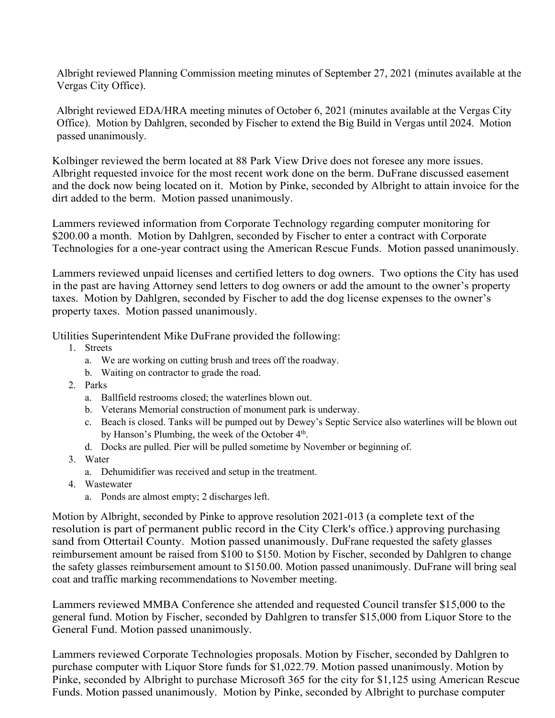Albright reviewed Planning Commission meeting minutes of September 27, 2021 (minutes available at the Vergas City Office).

Albright reviewed EDA/HRA meeting minutes of October 6, 2021 (minutes available at the Vergas City Office). Motion by Dahlgren, seconded by Fischer to extend the Big Build in Vergas until 2024. Motion passed unanimously.

Kolbinger reviewed the berm located at 88 Park View Drive does not foresee any more issues. Albright requested invoice for the most recent work done on the berm. DuFrane discussed easement and the dock now being located on it. Motion by Pinke, seconded by Albright to attain invoice for the dirt added to the berm. Motion passed unanimously.

Lammers reviewed information from Corporate Technology regarding computer monitoring for \$200.00 a month. Motion by Dahlgren, seconded by Fischer to enter a contract with Corporate Technologies for a one-year contract using the American Rescue Funds. Motion passed unanimously.

Lammers reviewed unpaid licenses and certified letters to dog owners. Two options the City has used in the past are having Attorney send letters to dog owners or add the amount to the owner's property taxes. Motion by Dahlgren, seconded by Fischer to add the dog license expenses to the owner's property taxes. Motion passed unanimously.

Utilities Superintendent Mike DuFrane provided the following:

- 1. Streets
	- a. We are working on cutting brush and trees off the roadway.
	- b. Waiting on contractor to grade the road.
- 2. Parks
	- a. Ballfield restrooms closed; the waterlines blown out.
	- b. Veterans Memorial construction of monument park is underway.
	- c. Beach is closed. Tanks will be pumped out by Dewey's Septic Service also waterlines will be blown out by Hanson's Plumbing, the week of the October 4<sup>th</sup>.
	- d. Docks are pulled. Pier will be pulled sometime by November or beginning of.
- 3. Water
	- a. Dehumidifier was received and setup in the treatment.
- 4. Wastewater
	- a. Ponds are almost empty; 2 discharges left.

Motion by Albright, seconded by Pinke to approve resolution 2021-013 (a complete text of the resolution is part of permanent public record in the City Clerk's office.) approving purchasing sand from Ottertail County. Motion passed unanimously. DuFrane requested the safety glasses reimbursement amount be raised from \$100 to \$150. Motion by Fischer, seconded by Dahlgren to change the safety glasses reimbursement amount to \$150.00. Motion passed unanimously. DuFrane will bring seal coat and traffic marking recommendations to November meeting.

Lammers reviewed MMBA Conference she attended and requested Council transfer \$15,000 to the general fund. Motion by Fischer, seconded by Dahlgren to transfer \$15,000 from Liquor Store to the General Fund. Motion passed unanimously.

Lammers reviewed Corporate Technologies proposals. Motion by Fischer, seconded by Dahlgren to purchase computer with Liquor Store funds for \$1,022.79. Motion passed unanimously. Motion by Pinke, seconded by Albright to purchase Microsoft 365 for the city for \$1,125 using American Rescue Funds. Motion passed unanimously. Motion by Pinke, seconded by Albright to purchase computer